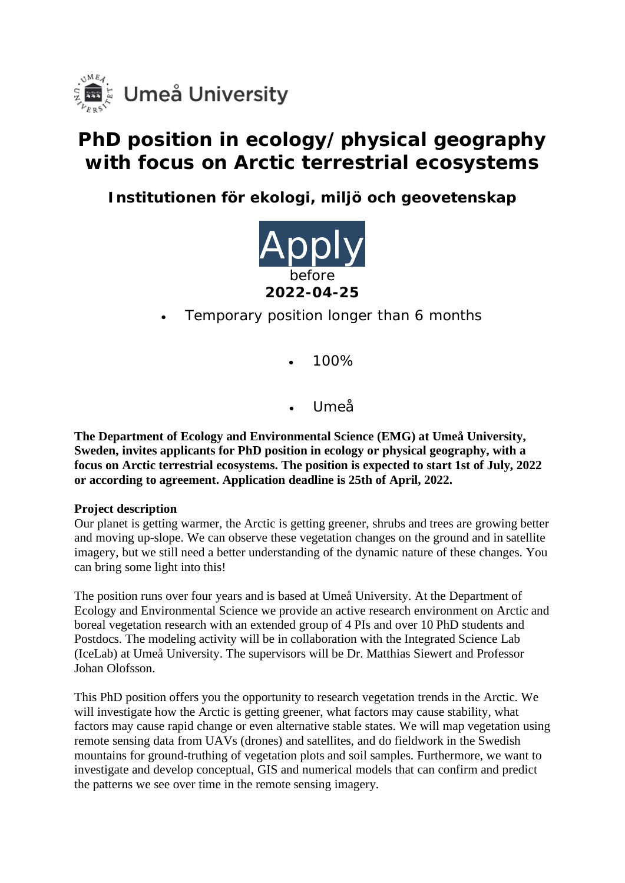

# **PhD position in ecology/physical geography with focus on Arctic terrestrial ecosystems**

**Institutionen för ekologi, miljö och geovetenskap**



- Temporary position longer than 6 months
	- 100%
	- Umeå

**The Department of Ecology and Environmental Science (EMG) at Umeå University, Sweden, invites applicants for PhD position in ecology or physical geography, with a focus on Arctic terrestrial ecosystems. The position is expected to start 1st of July, 2022 or according to agreement. Application deadline is 25th of April, 2022.**

#### **Project description**

Our planet is getting warmer, the Arctic is getting greener, shrubs and trees are growing better and moving up-slope. We can observe these vegetation changes on the ground and in satellite imagery, but we still need a better understanding of the dynamic nature of these changes. You can bring some light into this!

The position runs over four years and is based at Umeå University. At the Department of Ecology and Environmental Science we provide an active research environment on Arctic and boreal vegetation research with an extended group of 4 PIs and over 10 PhD students and Postdocs. The modeling activity will be in collaboration with the Integrated Science Lab (IceLab) at Umeå University. The supervisors will be Dr. Matthias Siewert and Professor Johan Olofsson.

This PhD position offers you the opportunity to research vegetation trends in the Arctic. We will investigate how the Arctic is getting greener, what factors may cause stability, what factors may cause rapid change or even alternative stable states. We will map vegetation using remote sensing data from UAVs (drones) and satellites, and do fieldwork in the Swedish mountains for ground-truthing of vegetation plots and soil samples. Furthermore, we want to investigate and develop conceptual, GIS and numerical models that can confirm and predict the patterns we see over time in the remote sensing imagery.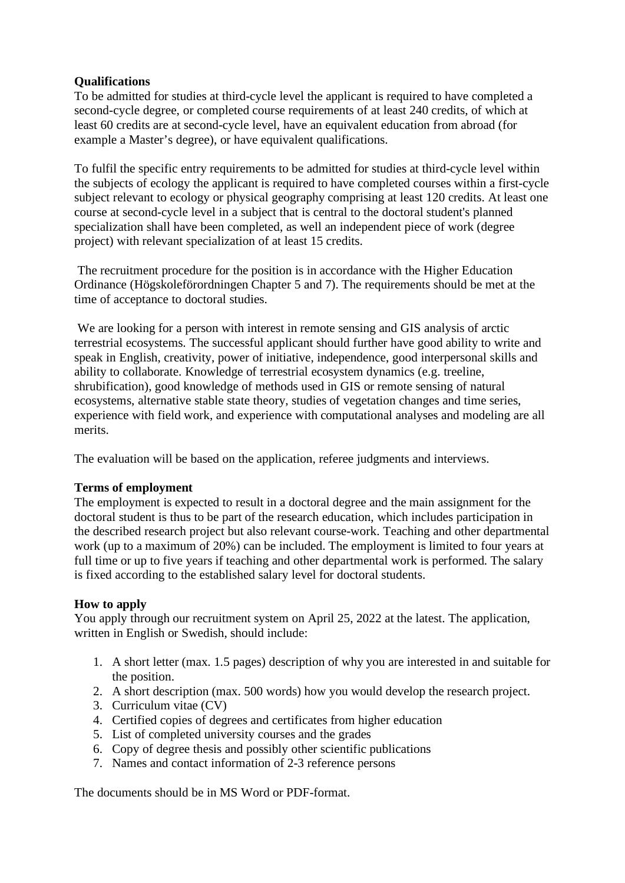#### **Qualifications**

To be admitted for studies at third-cycle level the applicant is required to have completed a second-cycle degree, or completed course requirements of at least 240 credits, of which at least 60 credits are at second-cycle level, have an equivalent education from abroad (for example a Master's degree), or have equivalent qualifications.

To fulfil the specific entry requirements to be admitted for studies at third-cycle level within the subjects of ecology the applicant is required to have completed courses within a first-cycle subject relevant to ecology or physical geography comprising at least 120 credits. At least one course at second-cycle level in a subject that is central to the doctoral student's planned specialization shall have been completed, as well an independent piece of work (degree project) with relevant specialization of at least 15 credits.

The recruitment procedure for the position is in accordance with the Higher Education Ordinance (Högskoleförordningen Chapter 5 and 7). The requirements should be met at the time of acceptance to doctoral studies.

We are looking for a person with interest in remote sensing and GIS analysis of arctic terrestrial ecosystems. The successful applicant should further have good ability to write and speak in English, creativity, power of initiative, independence, good interpersonal skills and ability to collaborate. Knowledge of terrestrial ecosystem dynamics (e.g. treeline, shrubification), good knowledge of methods used in GIS or remote sensing of natural ecosystems, alternative stable state theory, studies of vegetation changes and time series, experience with field work, and experience with computational analyses and modeling are all merits.

The evaluation will be based on the application, referee judgments and interviews.

## **Terms of employment**

The employment is expected to result in a doctoral degree and the main assignment for the doctoral student is thus to be part of the research education, which includes participation in the described research project but also relevant course-work. Teaching and other departmental work (up to a maximum of 20%) can be included. The employment is limited to four years at full time or up to five years if teaching and other departmental work is performed. The salary is fixed according to the established salary level for doctoral students.

## **How to apply**

You apply through our recruitment system on April 25, 2022 at the latest. The application, written in English or Swedish, should include:

- 1. A short letter (max. 1.5 pages) description of why you are interested in and suitable for the position.
- 2. A short description (max. 500 words) how you would develop the research project.
- 3. Curriculum vitae (CV)
- 4. Certified copies of degrees and certificates from higher education
- 5. List of completed university courses and the grades
- 6. Copy of degree thesis and possibly other scientific publications
- 7. Names and contact information of 2-3 reference persons

The documents should be in MS Word or PDF-format.